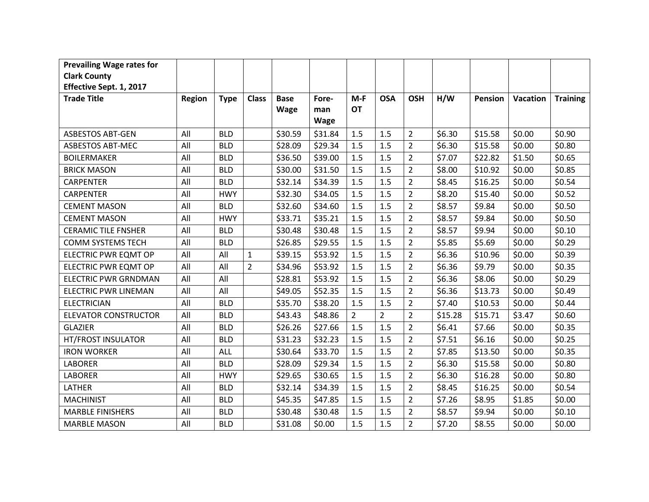| <b>Prevailing Wage rates for</b> |        |             |                |             |                    |                |                |                |         |         |                 |                 |
|----------------------------------|--------|-------------|----------------|-------------|--------------------|----------------|----------------|----------------|---------|---------|-----------------|-----------------|
| <b>Clark County</b>              |        |             |                |             |                    |                |                |                |         |         |                 |                 |
| Effective Sept. 1, 2017          |        |             |                |             |                    |                |                |                |         |         |                 |                 |
| <b>Trade Title</b>               | Region | <b>Type</b> | <b>Class</b>   | <b>Base</b> | Fore-              | $M-F$          | <b>OSA</b>     | <b>OSH</b>     | H/W     | Pension | <b>Vacation</b> | <b>Training</b> |
|                                  |        |             |                | <b>Wage</b> | man<br><b>Wage</b> | <b>OT</b>      |                |                |         |         |                 |                 |
| <b>ASBESTOS ABT-GEN</b>          | All    | <b>BLD</b>  |                | \$30.59     | \$31.84            | 1.5            | 1.5            | $\overline{2}$ | \$6.30  | \$15.58 | \$0.00          | \$0.90          |
| <b>ASBESTOS ABT-MEC</b>          | All    | <b>BLD</b>  |                | \$28.09     | \$29.34            | 1.5            | 1.5            | $\overline{2}$ | \$6.30  | \$15.58 | \$0.00          | \$0.80          |
| <b>BOILERMAKER</b>               | All    | <b>BLD</b>  |                | \$36.50     | \$39.00            | 1.5            | 1.5            | $\overline{2}$ | \$7.07  | \$22.82 | \$1.50          | \$0.65          |
| <b>BRICK MASON</b>               | All    | <b>BLD</b>  |                | \$30.00     | \$31.50            | 1.5            | 1.5            | $\overline{2}$ | \$8.00  | \$10.92 | \$0.00          | \$0.85          |
| <b>CARPENTER</b>                 | All    | <b>BLD</b>  |                | \$32.14     | \$34.39            | 1.5            | 1.5            | $\overline{2}$ | \$8.45  | \$16.25 | \$0.00          | \$0.54          |
| <b>CARPENTER</b>                 | All    | <b>HWY</b>  |                | \$32.30     | \$34.05            | 1.5            | 1.5            | $\overline{2}$ | \$8.20  | \$15.40 | \$0.00          | \$0.52          |
| <b>CEMENT MASON</b>              | All    | <b>BLD</b>  |                | \$32.60     | \$34.60            | 1.5            | 1.5            | $\overline{2}$ | \$8.57  | \$9.84  | \$0.00          | \$0.50          |
| <b>CEMENT MASON</b>              | All    | <b>HWY</b>  |                | \$33.71     | \$35.21            | 1.5            | 1.5            | $\overline{2}$ | \$8.57  | \$9.84  | \$0.00          | \$0.50          |
| <b>CERAMIC TILE FNSHER</b>       | All    | <b>BLD</b>  |                | \$30.48     | \$30.48            | 1.5            | 1.5            | $\overline{2}$ | \$8.57  | \$9.94  | \$0.00          | \$0.10          |
| <b>COMM SYSTEMS TECH</b>         | All    | <b>BLD</b>  |                | \$26.85     | \$29.55            | 1.5            | 1.5            | $\overline{2}$ | \$5.85  | \$5.69  | \$0.00          | \$0.29          |
| <b>ELECTRIC PWR EQMT OP</b>      | All    | All         | $\mathbf{1}$   | \$39.15     | \$53.92            | 1.5            | 1.5            | $\overline{2}$ | \$6.36  | \$10.96 | \$0.00          | \$0.39          |
| ELECTRIC PWR EQMT OP             | All    | All         | $\overline{2}$ | \$34.96     | \$53.92            | 1.5            | 1.5            | $\overline{2}$ | \$6.36  | \$9.79  | \$0.00          | \$0.35          |
| <b>ELECTRIC PWR GRNDMAN</b>      | All    | All         |                | \$28.81     | \$53.92            | 1.5            | 1.5            | $\overline{2}$ | \$6.36  | \$8.06  | \$0.00          | \$0.29          |
| <b>ELECTRIC PWR LINEMAN</b>      | All    | All         |                | \$49.05     | \$52.35            | 1.5            | 1.5            | $\overline{2}$ | \$6.36  | \$13.73 | \$0.00          | \$0.49          |
| <b>ELECTRICIAN</b>               | All    | <b>BLD</b>  |                | \$35.70     | \$38.20            | 1.5            | 1.5            | $\overline{2}$ | \$7.40  | \$10.53 | \$0.00          | \$0.44          |
| <b>ELEVATOR CONSTRUCTOR</b>      | All    | <b>BLD</b>  |                | \$43.43     | \$48.86            | $\overline{2}$ | $\overline{2}$ | $\overline{2}$ | \$15.28 | \$15.71 | \$3.47          | \$0.60          |
| <b>GLAZIER</b>                   | All    | <b>BLD</b>  |                | \$26.26     | \$27.66            | 1.5            | 1.5            | $\overline{2}$ | \$6.41  | \$7.66  | \$0.00          | \$0.35          |
| <b>HT/FROST INSULATOR</b>        | All    | <b>BLD</b>  |                | \$31.23     | \$32.23            | 1.5            | 1.5            | $\overline{2}$ | \$7.51  | \$6.16  | \$0.00          | \$0.25          |
| <b>IRON WORKER</b>               | All    | <b>ALL</b>  |                | \$30.64     | \$33.70            | 1.5            | 1.5            | $\overline{2}$ | \$7.85  | \$13.50 | \$0.00          | \$0.35          |
| <b>LABORER</b>                   | All    | <b>BLD</b>  |                | \$28.09     | \$29.34            | 1.5            | 1.5            | $\overline{2}$ | \$6.30  | \$15.58 | \$0.00          | \$0.80          |
| <b>LABORER</b>                   | All    | <b>HWY</b>  |                | \$29.65     | \$30.65            | 1.5            | 1.5            | $\overline{2}$ | \$6.30  | \$16.28 | \$0.00          | \$0.80          |
| LATHER                           | All    | <b>BLD</b>  |                | \$32.14     | \$34.39            | 1.5            | 1.5            | $\overline{2}$ | \$8.45  | \$16.25 | \$0.00          | \$0.54          |
| <b>MACHINIST</b>                 | All    | <b>BLD</b>  |                | \$45.35     | \$47.85            | 1.5            | 1.5            | $\overline{2}$ | \$7.26  | \$8.95  | \$1.85          | \$0.00          |
| <b>MARBLE FINISHERS</b>          | All    | <b>BLD</b>  |                | \$30.48     | \$30.48            | 1.5            | 1.5            | $\overline{2}$ | \$8.57  | \$9.94  | \$0.00          | \$0.10          |
| <b>MARBLE MASON</b>              | All    | <b>BLD</b>  |                | \$31.08     | \$0.00             | 1.5            | 1.5            | $\overline{2}$ | \$7.20  | \$8.55  | \$0.00          | \$0.00          |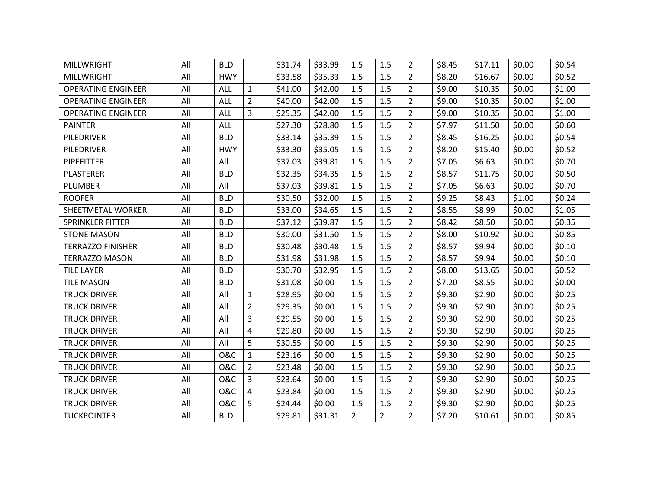| <b>MILLWRIGHT</b>         | All | <b>BLD</b>     |                | \$31.74 | \$33.99 | 1.5            | 1.5            | $\overline{2}$ | \$8.45 | \$17.11 | \$0.00 | \$0.54 |
|---------------------------|-----|----------------|----------------|---------|---------|----------------|----------------|----------------|--------|---------|--------|--------|
| <b>MILLWRIGHT</b>         | All | <b>HWY</b>     |                | \$33.58 | \$35.33 | $1.5\,$        | 1.5            | $\overline{2}$ | \$8.20 | \$16.67 | \$0.00 | \$0.52 |
| <b>OPERATING ENGINEER</b> | All | <b>ALL</b>     | $\mathbf{1}$   | \$41.00 | \$42.00 | 1.5            | 1.5            | $\overline{2}$ | \$9.00 | \$10.35 | \$0.00 | \$1.00 |
| <b>OPERATING ENGINEER</b> | All | <b>ALL</b>     | $\overline{2}$ | \$40.00 | \$42.00 | 1.5            | 1.5            | $\overline{2}$ | \$9.00 | \$10.35 | \$0.00 | \$1.00 |
| <b>OPERATING ENGINEER</b> | All | <b>ALL</b>     | 3              | \$25.35 | \$42.00 | 1.5            | 1.5            | $\overline{2}$ | \$9.00 | \$10.35 | \$0.00 | \$1.00 |
| <b>PAINTER</b>            | All | <b>ALL</b>     |                | \$27.30 | \$28.80 | 1.5            | 1.5            | $\overline{2}$ | \$7.97 | \$11.50 | \$0.00 | \$0.60 |
| PILEDRIVER                | All | <b>BLD</b>     |                | \$33.14 | \$35.39 | 1.5            | 1.5            | $\overline{2}$ | \$8.45 | \$16.25 | \$0.00 | \$0.54 |
| PILEDRIVER                | All | <b>HWY</b>     |                | \$33.30 | \$35.05 | 1.5            | 1.5            | $\overline{2}$ | \$8.20 | \$15.40 | \$0.00 | \$0.52 |
| <b>PIPEFITTER</b>         | All | All            |                | \$37.03 | \$39.81 | 1.5            | 1.5            | $\overline{2}$ | \$7.05 | \$6.63  | \$0.00 | \$0.70 |
| <b>PLASTERER</b>          | All | <b>BLD</b>     |                | \$32.35 | \$34.35 | 1.5            | 1.5            | $\overline{2}$ | \$8.57 | \$11.75 | \$0.00 | \$0.50 |
| PLUMBER                   | All | All            |                | \$37.03 | \$39.81 | 1.5            | 1.5            | $\overline{2}$ | \$7.05 | \$6.63  | \$0.00 | \$0.70 |
| <b>ROOFER</b>             | All | <b>BLD</b>     |                | \$30.50 | \$32.00 | 1.5            | 1.5            | $\overline{2}$ | \$9.25 | \$8.43  | \$1.00 | \$0.24 |
| SHEETMETAL WORKER         | All | <b>BLD</b>     |                | \$33.00 | \$34.65 | 1.5            | 1.5            | $\overline{2}$ | \$8.55 | \$8.99  | \$0.00 | \$1.05 |
| <b>SPRINKLER FITTER</b>   | All | <b>BLD</b>     |                | \$37.12 | \$39.87 | 1.5            | 1.5            | 2              | \$8.42 | \$8.50  | \$0.00 | \$0.35 |
| <b>STONE MASON</b>        | All | <b>BLD</b>     |                | \$30.00 | \$31.50 | 1.5            | 1.5            | $\overline{2}$ | \$8.00 | \$10.92 | \$0.00 | \$0.85 |
| <b>TERRAZZO FINISHER</b>  | All | <b>BLD</b>     |                | \$30.48 | \$30.48 | 1.5            | 1.5            | $\overline{2}$ | \$8.57 | \$9.94  | \$0.00 | \$0.10 |
| <b>TERRAZZO MASON</b>     | All | <b>BLD</b>     |                | \$31.98 | \$31.98 | 1.5            | 1.5            | $\overline{2}$ | \$8.57 | \$9.94  | \$0.00 | \$0.10 |
| <b>TILE LAYER</b>         | All | <b>BLD</b>     |                | \$30.70 | \$32.95 | 1.5            | 1.5            | $\overline{2}$ | \$8.00 | \$13.65 | \$0.00 | \$0.52 |
| <b>TILE MASON</b>         | All | <b>BLD</b>     |                | \$31.08 | \$0.00  | 1.5            | 1.5            | $\overline{2}$ | \$7.20 | \$8.55  | \$0.00 | \$0.00 |
| <b>TRUCK DRIVER</b>       | All | All            | $\mathbf{1}$   | \$28.95 | \$0.00  | 1.5            | 1.5            | $\overline{2}$ | \$9.30 | \$2.90  | \$0.00 | \$0.25 |
| <b>TRUCK DRIVER</b>       | All | All            | $\overline{2}$ | \$29.35 | \$0.00  | 1.5            | 1.5            | $\overline{2}$ | \$9.30 | \$2.90  | \$0.00 | \$0.25 |
| <b>TRUCK DRIVER</b>       | All | All            | 3              | \$29.55 | \$0.00  | 1.5            | 1.5            | $\overline{2}$ | \$9.30 | \$2.90  | \$0.00 | \$0.25 |
| <b>TRUCK DRIVER</b>       | All | All            | 4              | \$29.80 | \$0.00  | 1.5            | 1.5            | $\overline{2}$ | \$9.30 | \$2.90  | \$0.00 | \$0.25 |
| <b>TRUCK DRIVER</b>       | All | All            | 5              | \$30.55 | \$0.00  | 1.5            | 1.5            | $\overline{2}$ | \$9.30 | \$2.90  | \$0.00 | \$0.25 |
| <b>TRUCK DRIVER</b>       | All | O&C            | $\mathbf{1}$   | \$23.16 | \$0.00  | 1.5            | 1.5            | $\overline{2}$ | \$9.30 | \$2.90  | \$0.00 | \$0.25 |
| <b>TRUCK DRIVER</b>       | All | O&C            | $\overline{2}$ | \$23.48 | \$0.00  | 1.5            | 1.5            | $\overline{2}$ | \$9.30 | \$2.90  | \$0.00 | \$0.25 |
| <b>TRUCK DRIVER</b>       | All | <b>O&amp;C</b> | 3              | \$23.64 | \$0.00  | 1.5            | 1.5            | $\overline{2}$ | \$9.30 | \$2.90  | \$0.00 | \$0.25 |
| <b>TRUCK DRIVER</b>       | All | <b>O&amp;C</b> | 4              | \$23.84 | \$0.00  | 1.5            | 1.5            | $\overline{2}$ | \$9.30 | \$2.90  | \$0.00 | \$0.25 |
| <b>TRUCK DRIVER</b>       | All | O&C            | 5              | \$24.44 | \$0.00  | 1.5            | 1.5            | $\overline{2}$ | \$9.30 | \$2.90  | \$0.00 | \$0.25 |
| <b>TUCKPOINTER</b>        | All | <b>BLD</b>     |                | \$29.81 | \$31.31 | $\overline{2}$ | $\overline{2}$ | $\overline{2}$ | \$7.20 | \$10.61 | \$0.00 | \$0.85 |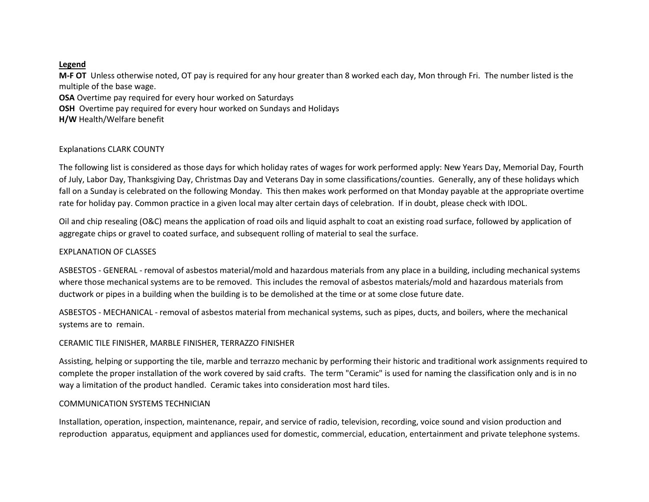### **Legend**

**M-F OT** Unless otherwise noted, OT pay is required for any hour greater than 8 worked each day, Mon through Fri. The number listed is the multiple of the base wage.

**OSA** Overtime pay required for every hour worked on Saturdays

**OSH** Overtime pay required for every hour worked on Sundays and Holidays

**H/W** Health/Welfare benefit

# Explanations CLARK COUNTY

The following list is considered as those days for which holiday rates of wages for work performed apply: New Years Day, Memorial Day, Fourth of July, Labor Day, Thanksgiving Day, Christmas Day and Veterans Day in some classifications/counties. Generally, any of these holidays which fall on a Sunday is celebrated on the following Monday. This then makes work performed on that Monday payable at the appropriate overtime rate for holiday pay. Common practice in a given local may alter certain days of celebration. If in doubt, please check with IDOL.

Oil and chip resealing (O&C) means the application of road oils and liquid asphalt to coat an existing road surface, followed by application of aggregate chips or gravel to coated surface, and subsequent rolling of material to seal the surface.

# EXPLANATION OF CLASSES

ASBESTOS - GENERAL - removal of asbestos material/mold and hazardous materials from any place in a building, including mechanical systems where those mechanical systems are to be removed. This includes the removal of asbestos materials/mold and hazardous materials from ductwork or pipes in a building when the building is to be demolished at the time or at some close future date.

ASBESTOS - MECHANICAL - removal of asbestos material from mechanical systems, such as pipes, ducts, and boilers, where the mechanical systems are to remain.

# CERAMIC TILE FINISHER, MARBLE FINISHER, TERRAZZO FINISHER

Assisting, helping or supporting the tile, marble and terrazzo mechanic by performing their historic and traditional work assignments required to complete the proper installation of the work covered by said crafts. The term "Ceramic" is used for naming the classification only and is in no way a limitation of the product handled. Ceramic takes into consideration most hard tiles.

# COMMUNICATION SYSTEMS TECHNICIAN

Installation, operation, inspection, maintenance, repair, and service of radio, television, recording, voice sound and vision production and reproduction apparatus, equipment and appliances used for domestic, commercial, education, entertainment and private telephone systems.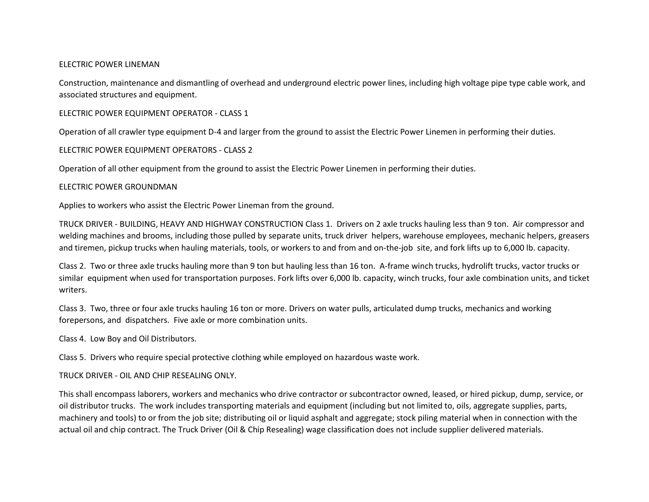#### ELECTRIC POWER LINEMAN

Construction, maintenance and dismantling of overhead and underground electric power lines, including high voltage pipe type cable work, and associated structures and equipment.

ELECTRIC POWER EQUIPMENT OPERATOR - CLASS 1

Operation of all crawler type equipment D-4 and larger from the ground to assist the Electric Power Linemen in performing their duties.

### ELECTRIC POWER EQUIPMENT OPERATORS - CLASS 2

Operation of all other equipment from the ground to assist the Electric Power Linemen in performing their duties.

### ELECTRIC POWER GROUNDMAN

Applies to workers who assist the Electric Power Lineman from the ground.

TRUCK DRIVER - BUILDING, HEAVY AND HIGHWAY CONSTRUCTION Class 1. Drivers on 2 axle trucks hauling less than 9 ton. Air compressor and welding machines and brooms, including those pulled by separate units, truck driver helpers, warehouse employees, mechanic helpers, greasers and tiremen, pickup trucks when hauling materials, tools, or workers to and from and on-the-job site, and fork lifts up to 6,000 lb. capacity.

Class 2. Two or three axle trucks hauling more than 9 ton but hauling less than 16 ton. A-frame winch trucks, hydrolift trucks, vactor trucks or similar equipment when used for transportation purposes. Fork lifts over 6,000 lb. capacity, winch trucks, four axle combination units, and ticket writers.

Class 3. Two, three or four axle trucks hauling 16 ton or more. Drivers on water pulls, articulated dump trucks, mechanics and working forepersons, and dispatchers. Five axle or more combination units.

Class 4. Low Boy and Oil Distributors.

Class 5. Drivers who require special protective clothing while employed on hazardous waste work.

#### TRUCK DRIVER - OIL AND CHIP RESEALING ONLY.

This shall encompass laborers, workers and mechanics who drive contractor or subcontractor owned, leased, or hired pickup, dump, service, or oil distributor trucks. The work includes transporting materials and equipment (including but not limited to, oils, aggregate supplies, parts, machinery and tools) to or from the job site; distributing oil or liquid asphalt and aggregate; stock piling material when in connection with the actual oil and chip contract. The Truck Driver (Oil & Chip Resealing) wage classification does not include supplier delivered materials.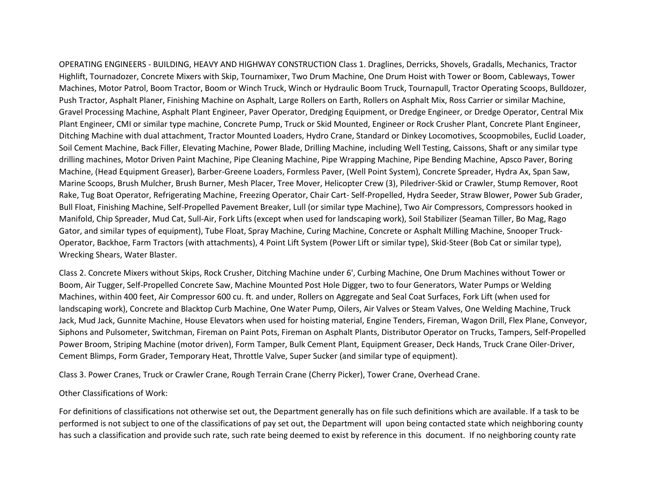OPERATING ENGINEERS - BUILDING, HEAVY AND HIGHWAY CONSTRUCTION Class 1. Draglines, Derricks, Shovels, Gradalls, Mechanics, Tractor Highlift, Tournadozer, Concrete Mixers with Skip, Tournamixer, Two Drum Machine, One Drum Hoist with Tower or Boom, Cableways, Tower Machines, Motor Patrol, Boom Tractor, Boom or Winch Truck, Winch or Hydraulic Boom Truck, Tournapull, Tractor Operating Scoops, Bulldozer, Push Tractor, Asphalt Planer, Finishing Machine on Asphalt, Large Rollers on Earth, Rollers on Asphalt Mix, Ross Carrier or similar Machine, Gravel Processing Machine, Asphalt Plant Engineer, Paver Operator, Dredging Equipment, or Dredge Engineer, or Dredge Operator, Central Mix Plant Engineer, CMI or similar type machine, Concrete Pump, Truck or Skid Mounted, Engineer or Rock Crusher Plant, Concrete Plant Engineer, Ditching Machine with dual attachment, Tractor Mounted Loaders, Hydro Crane, Standard or Dinkey Locomotives, Scoopmobiles, Euclid Loader, Soil Cement Machine, Back Filler, Elevating Machine, Power Blade, Drilling Machine, including Well Testing, Caissons, Shaft or any similar type drilling machines, Motor Driven Paint Machine, Pipe Cleaning Machine, Pipe Wrapping Machine, Pipe Bending Machine, Apsco Paver, Boring Machine, (Head Equipment Greaser), Barber-Greene Loaders, Formless Paver, (Well Point System), Concrete Spreader, Hydra Ax, Span Saw, Marine Scoops, Brush Mulcher, Brush Burner, Mesh Placer, Tree Mover, Helicopter Crew (3), Piledriver-Skid or Crawler, Stump Remover, Root Rake, Tug Boat Operator, Refrigerating Machine, Freezing Operator, Chair Cart- Self-Propelled, Hydra Seeder, Straw Blower, Power Sub Grader, Bull Float, Finishing Machine, Self-Propelled Pavement Breaker, Lull (or similar type Machine), Two Air Compressors, Compressors hooked in Manifold, Chip Spreader, Mud Cat, Sull-Air, Fork Lifts (except when used for landscaping work), Soil Stabilizer (Seaman Tiller, Bo Mag, Rago Gator, and similar types of equipment), Tube Float, Spray Machine, Curing Machine, Concrete or Asphalt Milling Machine, Snooper Truck-Operator, Backhoe, Farm Tractors (with attachments), 4 Point Lift System (Power Lift or similar type), Skid-Steer (Bob Cat or similar type), Wrecking Shears, Water Blaster.

Class 2. Concrete Mixers without Skips, Rock Crusher, Ditching Machine under 6', Curbing Machine, One Drum Machines without Tower or Boom, Air Tugger, Self-Propelled Concrete Saw, Machine Mounted Post Hole Digger, two to four Generators, Water Pumps or Welding Machines, within 400 feet, Air Compressor 600 cu. ft. and under, Rollers on Aggregate and Seal Coat Surfaces, Fork Lift (when used for landscaping work), Concrete and Blacktop Curb Machine, One Water Pump, Oilers, Air Valves or Steam Valves, One Welding Machine, Truck Jack, Mud Jack, Gunnite Machine, House Elevators when used for hoisting material, Engine Tenders, Fireman, Wagon Drill, Flex Plane, Conveyor, Siphons and Pulsometer, Switchman, Fireman on Paint Pots, Fireman on Asphalt Plants, Distributor Operator on Trucks, Tampers, Self-Propelled Power Broom, Striping Machine (motor driven), Form Tamper, Bulk Cement Plant, Equipment Greaser, Deck Hands, Truck Crane Oiler-Driver, Cement Blimps, Form Grader, Temporary Heat, Throttle Valve, Super Sucker (and similar type of equipment).

Class 3. Power Cranes, Truck or Crawler Crane, Rough Terrain Crane (Cherry Picker), Tower Crane, Overhead Crane.

#### Other Classifications of Work:

For definitions of classifications not otherwise set out, the Department generally has on file such definitions which are available. If a task to be performed is not subject to one of the classifications of pay set out, the Department will upon being contacted state which neighboring county has such a classification and provide such rate, such rate being deemed to exist by reference in this document. If no neighboring county rate